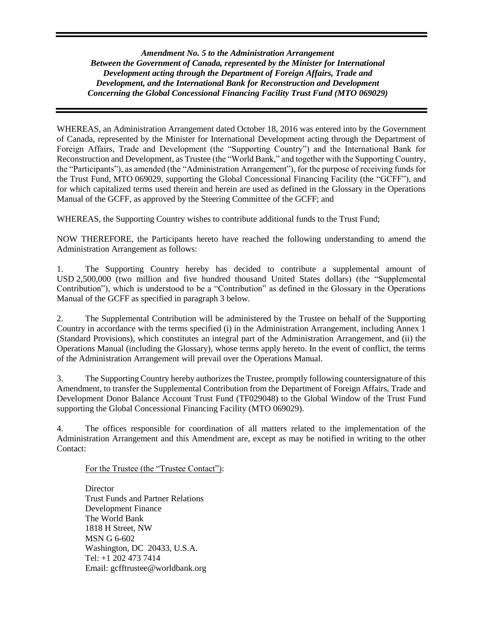*Amendment No. 5 to the Administration Arrangement Between the Government of Canada, represented by the Minister for International Development acting through the Department of Foreign Affairs, Trade and Development, and the International Bank for Reconstruction and Development Concerning the Global Concessional Financing Facility Trust Fund (MTO 069029)*

WHEREAS, an Administration Arrangement dated October 18, 2016 was entered into by the Government of Canada, represented by the Minister for International Development acting through the Department of Foreign Affairs, Trade and Development (the "Supporting Country") and the International Bank for Reconstruction and Development, as Trustee (the "World Bank," and together with the Supporting Country, the "Participants"), as amended (the "Administration Arrangement"), for the purpose of receiving funds for the Trust Fund, MTO 069029, supporting the Global Concessional Financing Facility (the "GCFF"), and for which capitalized terms used therein and herein are used as defined in the Glossary in the Operations Manual of the GCFF, as approved by the Steering Committee of the GCFF; and

WHEREAS, the Supporting Country wishes to contribute additional funds to the Trust Fund;

NOW THEREFORE, the Participants hereto have reached the following understanding to amend the Administration Arrangement as follows:

1. The Supporting Country hereby has decided to contribute a supplemental amount of USD 2,500,000 (two million and five hundred thousand United States dollars) (the "Supplemental Contribution"), which is understood to be a "Contribution" as defined in the Glossary in the Operations Manual of the GCFF as specified in paragraph 3 below.

2. The Supplemental Contribution will be administered by the Trustee on behalf of the Supporting Country in accordance with the terms specified (i) in the Administration Arrangement, including Annex 1 (Standard Provisions), which constitutes an integral part of the Administration Arrangement, and (ii) the Operations Manual (including the Glossary), whose terms apply hereto. In the event of conflict, the terms of the Administration Arrangement will prevail over the Operations Manual.

3. The Supporting Country hereby authorizes the Trustee, promptly following countersignature of this Amendment, to transfer the Supplemental Contribution from the Department of Foreign Affairs, Trade and Development Donor Balance Account Trust Fund (TF029048) to the Global Window of the Trust Fund supporting the Global Concessional Financing Facility (MTO 069029).

4. The offices responsible for coordination of all matters related to the implementation of the Administration Arrangement and this Amendment are, except as may be notified in writing to the other Contact:

For the Trustee (the "Trustee Contact"):

**Director** Trust Funds and Partner Relations Development Finance The World Bank 1818 H Street, NW MSN G 6-602 Washington, DC 20433, U.S.A. Tel: +1 202 473 7414 Email: gcfftrustee@worldbank.org